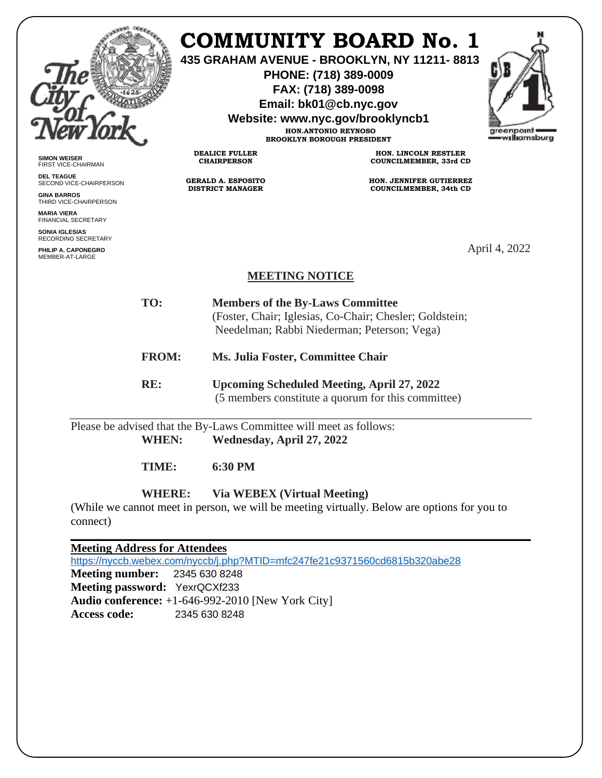

## **COMMUNITY BOARD No. 1**

**435 GRAHAM AVENUE - BROOKLYN, NY 11211- 8813**

**PHONE: (718) 389-0009 FAX: (718) 389-0098**

**Email: bk01@cb.nyc.gov**

**Website: www.nyc.gov/brooklyncb1**

**HON.ANTONIO REYNOSO BROOKLYN BOROUGH PRESIDENT**



**SIMON WEISER** FIRST VICE-CHAIRMAN

**DEL TEAGUE** SECOND VICE-CHAIRPERSON

**GINA BARROS** THIRD VICE-CHAIRPERSON

**MARIA VIERA** FINANCIAL SECRETARY

**SONIA IGLESIAS** RECORDING SECRETARY

**PHILIP A. CAPONEGRO** MEMBER-AT-LARGE

**HON. LINCOLN RESTLER COUNCILMEMBER, 33rd CD**

**HON. JENNIFER GUTIERREZ COUNCILMEMBER, 34th CD**

April 4, 2022

## **MEETING NOTICE**

**TO: Members of the By-Laws Committee** (Foster, Chair; Iglesias, Co-Chair; Chesler; Goldstein; Needelman; Rabbi Niederman; Peterson; Vega)

**FROM: Ms. Julia Foster, Committee Chair**

**RE: Upcoming Scheduled Meeting, April 27, 2022** (5 members constitute a quorum for this committee)

Please be advised that the By-Laws Committee will meet as follows: **WHEN: Wednesday, April 27, 2022**

**DEALICE FULLER CHAIRPERSON**

**GERALD A. ESPOSITO DISTRICT MANAGER**

**TIME: 6:30 PM**

**WHERE: Via WEBEX (Virtual Meeting)**

(While we cannot meet in person, we will be meeting virtually. Below are options for you to connect)

**\_\_\_\_\_\_\_\_\_\_\_\_\_\_\_\_\_\_\_\_\_\_\_\_\_\_\_\_\_\_\_\_\_\_\_\_\_\_\_\_\_\_\_\_\_\_\_\_\_\_\_\_\_\_\_\_\_\_\_\_\_\_\_\_\_\_\_\_\_\_\_\_\_\_\_\_\_\_**

## **Meeting Address for Attendees**

<https://nyccb.webex.com/nyccb/j.php?MTID=mfc247fe21c9371560cd6815b320abe28> **Meeting number:** 2345 630 8248 **Meeting password:** YexrQCXf233 **Audio conference:** +1-646-992-2010 [New York City] **Access code:** 2345 630 8248